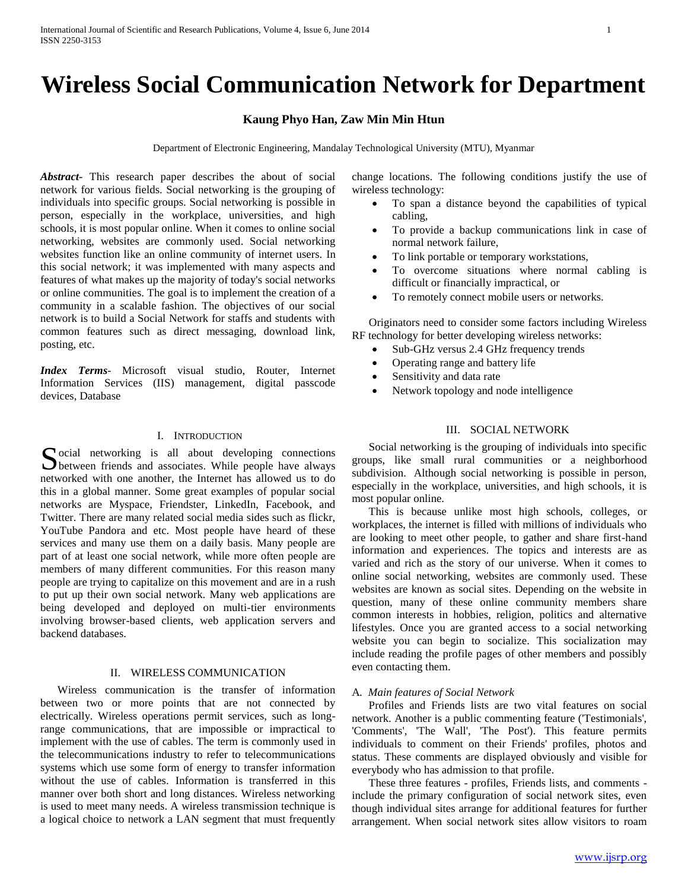# **Wireless Social Communication Network for Department**

# **Kaung Phyo Han, Zaw Min Min Htun**

Department of Electronic Engineering, Mandalay Technological University (MTU), Myanmar

*Abstract***-** This research paper describes the about of social network for various fields. Social networking is the grouping of individuals into specific groups. Social networking is possible in person, especially in the workplace, universities, and high schools, it is most popular online. When it comes to online social networking, websites are commonly used. Social networking websites function like an online community of internet users. In this social network; it was implemented with many aspects and features of what makes up the majority of today's social networks or online communities. The goal is to implement the creation of a community in a scalable fashion. The objectives of our social network is to build a Social Network for staffs and students with common features such as direct messaging, download link, posting, etc.

*Index Terms*- Microsoft visual studio, Router, Internet Information Services (IIS) management, digital passcode devices, Database

## I. INTRODUCTION

 $\Gamma$  ocial networking is all about developing connections Social networking is all about developing connections between friends and associates. While people have always networked with one another, the Internet has allowed us to do this in a global manner. Some great examples of popular social networks are Myspace, Friendster, LinkedIn, Facebook, and Twitter. There are many related social media sides such as flickr, YouTube Pandora and etc. Most people have heard of these services and many use them on a daily basis. Many people are part of at least one social network, while more often people are members of many different communities. For this reason many people are trying to capitalize on this movement and are in a rush to put up their own social network. Many web applications are being developed and deployed on multi-tier environments involving browser-based clients, web application servers and backend databases.

# II. WIRELESS COMMUNICATION

 Wireless communication is the transfer of information between two or more points that are not connected by electrically. Wireless operations permit services, such as longrange communications, that are impossible or impractical to implement with the use of cables. The term is commonly used in the telecommunications industry to refer to telecommunications systems which use some form of energy to transfer information without the use of cables. Information is transferred in this manner over both short and long distances. Wireless networking is used to meet many needs. A wireless transmission technique is a logical choice to network a LAN segment that must frequently

change locations. The following conditions justify the use of wireless technology:

- To span a distance beyond the capabilities of typical cabling,
- To provide a backup communications link in case of normal network failure,
- To link portable or temporary workstations,
- To overcome situations where normal cabling is difficult or financially impractical, or
- To remotely connect mobile users or networks.

 Originators need to consider some factors including Wireless RF technology for better developing wireless networks:

- Sub-GHz versus 2.4 GHz frequency trends
- Operating range and battery life
- Sensitivity and data rate
- Network topology and node intelligence

# III. SOCIAL NETWORK

 Social networking is the grouping of individuals into specific groups, like small rural communities or a neighborhood subdivision. Although social networking is possible in person, especially in the workplace, universities, and high schools, it is most popular online.

 This is because unlike most high schools, colleges, or workplaces, the internet is filled with millions of individuals who are looking to meet other people, to gather and share first-hand information and experiences. The topics and interests are as varied and rich as the story of our universe. When it comes to online social networking, websites are commonly used. These websites are known as social sites. Depending on the website in question, many of these online community members share common interests in hobbies, religion, politics and alternative lifestyles. Once you are granted access to a social networking website you can begin to socialize. This socialization may include reading the profile pages of other members and possibly even contacting them.

#### A*. Main features of Social Network*

 Profiles and Friends lists are two vital features on social network. Another is a public commenting feature ('Testimonials', 'Comments', 'The Wall', 'The Post'). This feature permits individuals to comment on their Friends' profiles, photos and status. These comments are displayed obviously and visible for everybody who has admission to that profile.

 These three features - profiles, Friends lists, and comments include the primary configuration of social network sites, even though individual sites arrange for additional features for further arrangement. When social network sites allow visitors to roam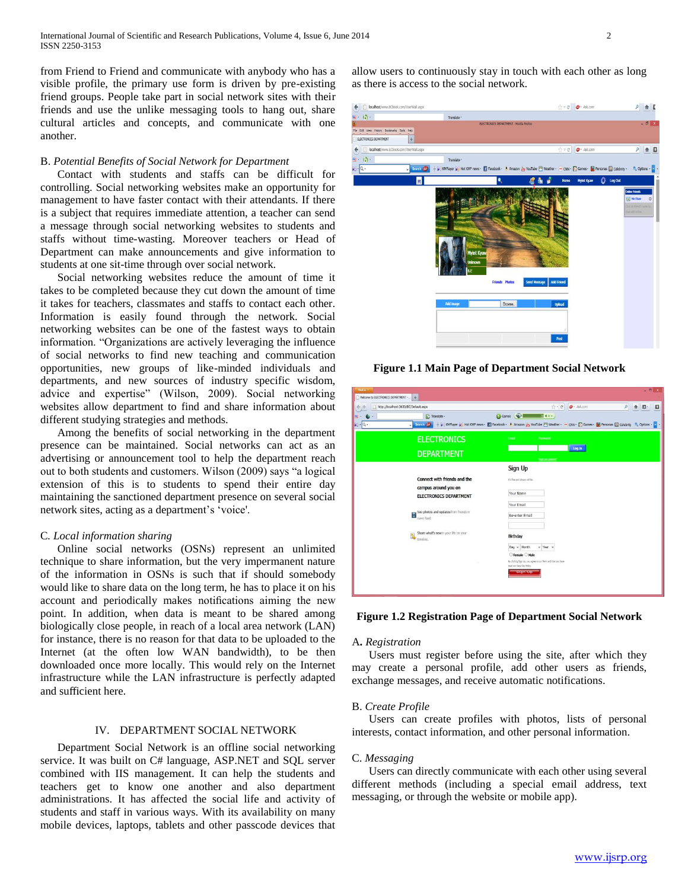from Friend to Friend and communicate with anybody who has a visible profile, the primary use form is driven by pre-existing friend groups. People take part in social network sites with their friends and use the unlike messaging tools to hang out, share cultural articles and concepts, and communicate with one another.

## B. *Potential Benefits of Social Network for Department*

 Contact with students and staffs can be difficult for controlling. Social networking websites make an opportunity for management to have faster contact with their attendants. If there is a subject that requires immediate attention, a teacher can send a message through social networking websites to students and staffs without time-wasting. Moreover teachers or Head of Department can make announcements and give information to students at one sit-time through over social network.

 Social networking websites reduce the amount of time it takes to be completed because they cut down the amount of time it takes for teachers, classmates and staffs to contact each other. Information is easily found through the network. Social networking websites can be one of the fastest ways to obtain information. "Organizations are actively leveraging the influence of social networks to find new teaching and communication opportunities, new groups of like-minded individuals and departments, and new sources of industry specific wisdom, advice and expertise" (Wilson, 2009). Social networking websites allow department to find and share information about different studying strategies and methods.

 Among the benefits of social networking in the department presence can be maintained. Social networks can act as an advertising or announcement tool to help the department reach out to both students and customers. Wilson (2009) says "a logical extension of this is to students to spend their entire day maintaining the sanctioned department presence on several social network sites, acting as a department's 'voice'.

## C*. Local information sharing*

 Online social networks (OSNs) represent an unlimited technique to share information, but the very impermanent nature of the information in OSNs is such that if should somebody would like to share data on the long term, he has to place it on his account and periodically makes notifications aiming the new point. In addition, when data is meant to be shared among biologically close people, in reach of a local area network (LAN) for instance, there is no reason for that data to be uploaded to the Internet (at the often low WAN bandwidth), to be then downloaded once more locally. This would rely on the Internet infrastructure while the LAN infrastructure is perfectly adapted and sufficient here.

# IV. DEPARTMENT SOCIAL NETWORK

 Department Social Network is an offline social networking service. It was built on C# language, ASP.NET and SQL server combined with IIS management. It can help the students and teachers get to know one another and also department administrations. It has affected the social life and activity of students and staff in various ways. With its availability on many mobile devices, laptops, tablets and other passcode devices that allow users to continuously stay in touch with each other as long as there is access to the social network.



**Figure 1.1 Main Page of Department Social Network**

| Findex +<br>Welcome to ELECTRONICS DEPARTMENT - 4 |                                                       | $ \Box$                                                                                                                                                                 |
|---------------------------------------------------|-------------------------------------------------------|-------------------------------------------------------------------------------------------------------------------------------------------------------------------------|
|                                                   | http://localhost:3633/EC/Default.aspx                 | $\Phi$ - Ask.com<br>$\uparrow$ - $C$<br>$\mathsf{Q}$<br>合日<br>o                                                                                                         |
| $kq \cdot  Q$ .                                   | Translate -<br>Search (A)<br>v                        | <b>O</b> Games <b>C</b><br>+ PI KMPlayer PE Hot KMP news . El Facebook . A Amazon W YouTube TI Weather . - CNN - Pi Games . El Personas El Celebrity . Op Options . 2 . |
|                                                   | <b>ELECTRONICS</b>                                    | Einal<br>Password                                                                                                                                                       |
|                                                   | <b>DEPARTMENT</b>                                     | Log In<br><b>Forget your personnel</b>                                                                                                                                  |
|                                                   |                                                       | Sign Up                                                                                                                                                                 |
|                                                   | Connect with friends and the                          | If a fine and always will be.                                                                                                                                           |
|                                                   | campus around you on<br><b>ELECTRONICS DEPARTMENT</b> | Your Name                                                                                                                                                               |
|                                                   |                                                       | Your Email                                                                                                                                                              |
|                                                   | See photos and updates from friends in<br>news feed.  | Re-enter Email                                                                                                                                                          |
|                                                   | Share what's new in your life on your<br>timeline.    | Birthday                                                                                                                                                                |
|                                                   |                                                       | $v$ Year $v$<br>Day v Month                                                                                                                                             |
|                                                   | $\sim$                                                | ○ Female ○ Male<br>By cloting Sign Up, you agree to our Term and that you have<br>raid our Data Lise Roley.                                                             |
|                                                   |                                                       | <b>Sign Up</b>                                                                                                                                                          |
|                                                   |                                                       |                                                                                                                                                                         |

**Figure 1.2 Registration Page of Department Social Network**

## A**.** *Registration*

 Users must register before using the site, after which they may create a personal profile, add other users as friends, exchange messages, and receive automatic notifications.

#### B. *Create Profile*

 Users can create profiles with photos, lists of personal interests, contact information, and other personal information.

#### C. *Messaging*

 Users can directly communicate with each other using several different methods (including a special email address, text messaging, or through the website or mobile app).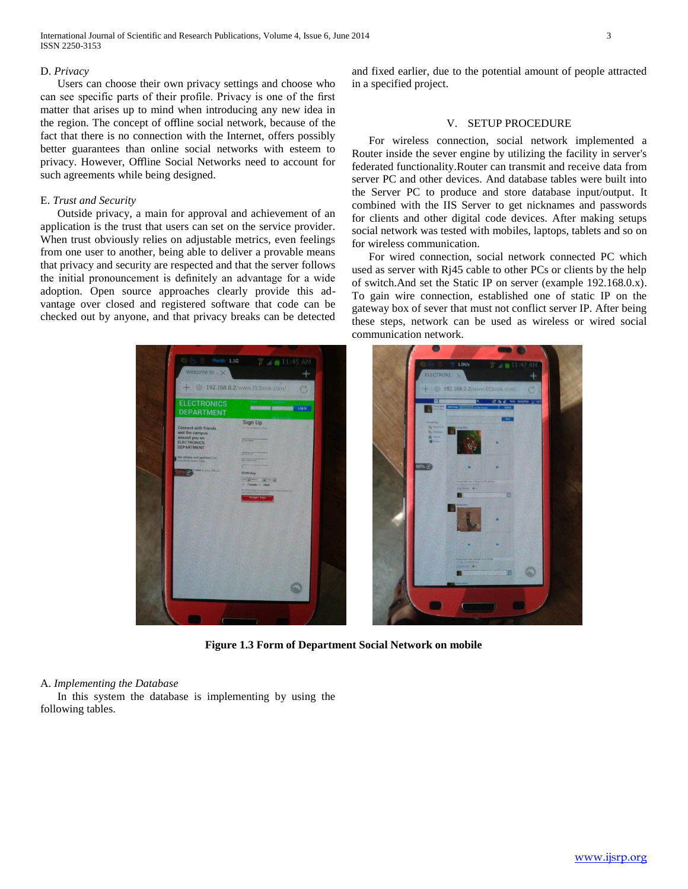International Journal of Scientific and Research Publications, Volume 4, Issue 6, June 2014 3 ISSN 2250-3153

#### D. *Privacy*

 Users can choose their own privacy settings and choose who can see specific parts of their profile. Privacy is one of the first matter that arises up to mind when introducing any new idea in the region. The concept of offline social network, because of the fact that there is no connection with the Internet, offers possibly better guarantees than online social networks with esteem to privacy. However, Offline Social Networks need to account for such agreements while being designed.

## E. *Trust and Security*

 Outside privacy, a main for approval and achievement of an application is the trust that users can set on the service provider. When trust obviously relies on adjustable metrics, even feelings from one user to another, being able to deliver a provable means that privacy and security are respected and that the server follows the initial pronouncement is definitely an advantage for a wide adoption. Open source approaches clearly provide this advantage over closed and registered software that code can be checked out by anyone, and that privacy breaks can be detected

192 168 0 2/100

and fixed earlier, due to the potential amount of people attracted in a specified project.

## V. SETUP PROCEDURE

 For wireless connection, social network implemented a Router inside the sever engine by utilizing the facility in server's federated functionality.Router can transmit and receive data from server PC and other devices. And database tables were built into the Server PC to produce and store database input/output. It combined with the IIS Server to get nicknames and passwords for clients and other digital code devices. After making setups social network was tested with mobiles, laptops, tablets and so on for wireless communication.

 For wired connection, social network connected PC which used as server with Rj45 cable to other PCs or clients by the help of switch.And set the Static IP on server (example 192.168.0.x). To gain wire connection, established one of static IP on the gateway box of sever that must not conflict server IP. After being these steps, network can be used as wireless or wired social communication network.



**Figure 1.3 Form of Department Social Network on mobile**

#### A. *Implementing the Database*

 In this system the database is implementing by using the following tables.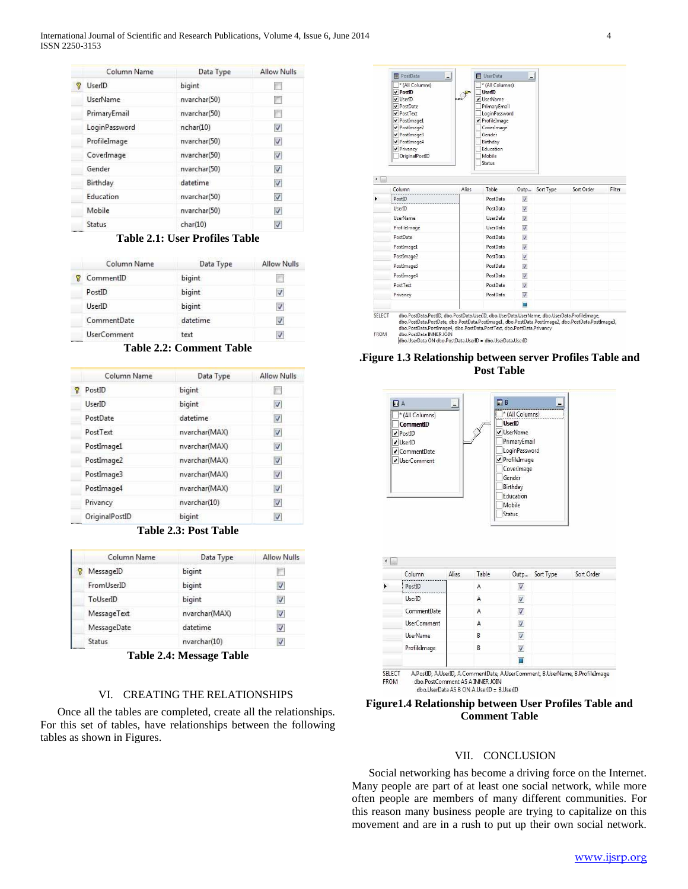International Journal of Scientific and Research Publications, Volume 4, Issue 6, June 2014 4 ISSN 2250-3153

|   | Column Name     | Data Type    | Allow Nulls             |
|---|-----------------|--------------|-------------------------|
| P | UserID          | bigint       |                         |
|   | <b>UserName</b> | nvarchar(50) |                         |
|   | PrimaryEmail    | nvarchar(50) | 門                       |
|   | LoginPassword   | nchar(10)    | V                       |
|   | ProfileImage    | nvarchar(50) | V                       |
|   | CoverImage      | nvarchar(50) | V                       |
|   | Gender          | nvarchar(50) | $\blacktriangledown$    |
|   | Birthday        | datetime     | V                       |
|   | Education       | nvarchar(50) | V                       |
|   | Mobile          | nvarchar(50) | $\overline{\mathsf{v}}$ |
|   | Status          | char(10)     | V                       |

# **Table 2.1: User Profiles Table**

|  | Column Name        | Data Type | Allow Nulls |
|--|--------------------|-----------|-------------|
|  | CommentID          | bigint    |             |
|  | PostID             | bigint    |             |
|  | <b>UserID</b>      | bigint    |             |
|  | CommentDate        | datetime  |             |
|  | <b>UserComment</b> | text      |             |

**Table 2.2: Comment Table**

|   | Column Name    | Data Type     | <b>Allow Nulls</b>       |
|---|----------------|---------------|--------------------------|
| 8 | PostID         | bigint        |                          |
|   | UserID         | bigint        | $\overline{\mathcal{L}}$ |
|   | PostDate       | datetime      | V                        |
|   | PostText       | nvarchar(MAX) | V                        |
|   | PostImage1     | nvarchar(MAX) | V                        |
|   | PostImage2     | nvarchar(MAX) | V                        |
|   | PostImage3     | nvarchar(MAX) | $\blacktriangledown$     |
|   | PostImage4     | nvarchar(MAX) | $\overline{\mathcal{L}}$ |
|   | Privancy       | nvarchar(10)  | $\overline{\mathsf{v}}$  |
|   | OriginalPostID | bigint        | V                        |

**Table 2.3: Post Table**

| Column Name | Data Type     | <b>Allow Nulls</b>       |
|-------------|---------------|--------------------------|
| MessageID   | bigint        |                          |
| FromUserID  | bigint        | $\checkmark$             |
| ToUserID    | bigint        | $\overline{\mathsf{v}}$  |
| MessageText | nvarchar(MAX) | $\overline{\mathcal{A}}$ |
| MessageDate | datetime      | $\overline{\mathcal{A}}$ |
| Status      | nvarchar(10)  |                          |

**Table 2.4: Message Table**

## VI. CREATING THE RELATIONSHIPS

 Once all the tables are completed, create all the relationships. For this set of tables, have relationships between the following tables as shown in Figures.



dbo PostData PostID, dbo PostData UserID, dbo UserData UserName, dbo UserData ProfileImage,<br>dbo PostData PostDate, dbo PostData PostImage1, dbo PostData PostImage2, dbo PostData PostImage2,<br>dbo PostData PostImage4, dbo Pos FROM

# **.Figure 1.3 Relationship between server Profiles Table and Post Table**





## VII. CONCLUSION

 Social networking has become a driving force on the Internet. Many people are part of at least one social network, while more often people are members of many different communities. For this reason many business people are trying to capitalize on this movement and are in a rush to put up their own social network.